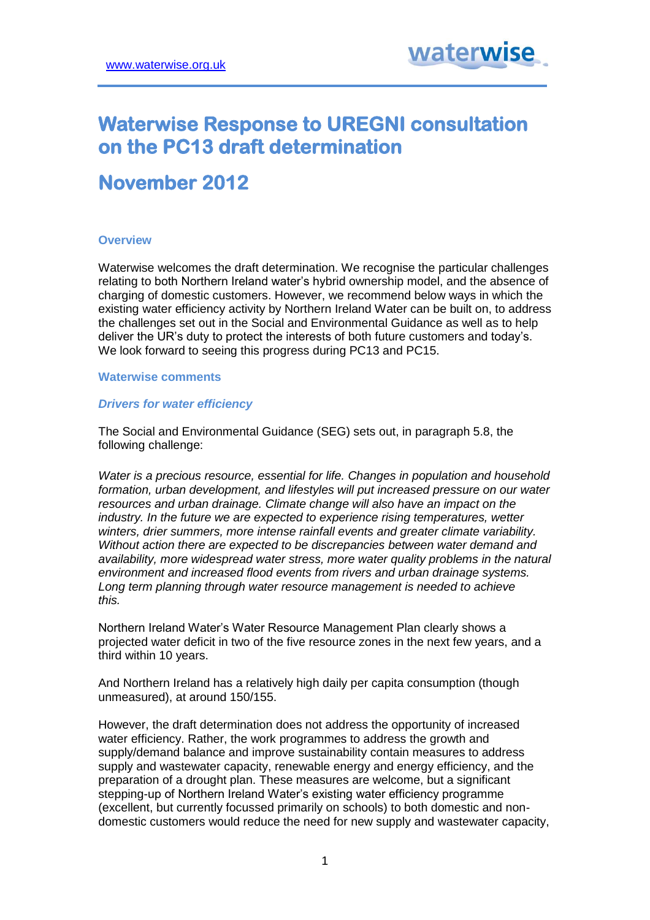# **Waterwise Response to UREGNI consultation on the PC13 draft determination**

## **November 2012**

## **Overview**

Waterwise welcomes the draft determination. We recognise the particular challenges relating to both Northern Ireland water's hybrid ownership model, and the absence of charging of domestic customers. However, we recommend below ways in which the existing water efficiency activity by Northern Ireland Water can be built on, to address the challenges set out in the Social and Environmental Guidance as well as to help deliver the UR's duty to protect the interests of both future customers and today's. We look forward to seeing this progress during PC13 and PC15.

## **Waterwise comments**

#### *Drivers for water efficiency*

The Social and Environmental Guidance (SEG) sets out, in paragraph 5.8, the following challenge:

*Water is a precious resource, essential for life. Changes in population and household formation, urban development, and lifestyles will put increased pressure on our water resources and urban drainage. Climate change will also have an impact on the industry. In the future we are expected to experience rising temperatures, wetter winters, drier summers, more intense rainfall events and greater climate variability. Without action there are expected to be discrepancies between water demand and availability, more widespread water stress, more water quality problems in the natural environment and increased flood events from rivers and urban drainage systems. Long term planning through water resource management is needed to achieve this.*

Northern Ireland Water's Water Resource Management Plan clearly shows a projected water deficit in two of the five resource zones in the next few years, and a third within 10 years.

And Northern Ireland has a relatively high daily per capita consumption (though unmeasured), at around 150/155.

However, the draft determination does not address the opportunity of increased water efficiency. Rather, the work programmes to address the growth and supply/demand balance and improve sustainability contain measures to address supply and wastewater capacity, renewable energy and energy efficiency, and the preparation of a drought plan. These measures are welcome, but a significant stepping-up of Northern Ireland Water's existing water efficiency programme (excellent, but currently focussed primarily on schools) to both domestic and nondomestic customers would reduce the need for new supply and wastewater capacity,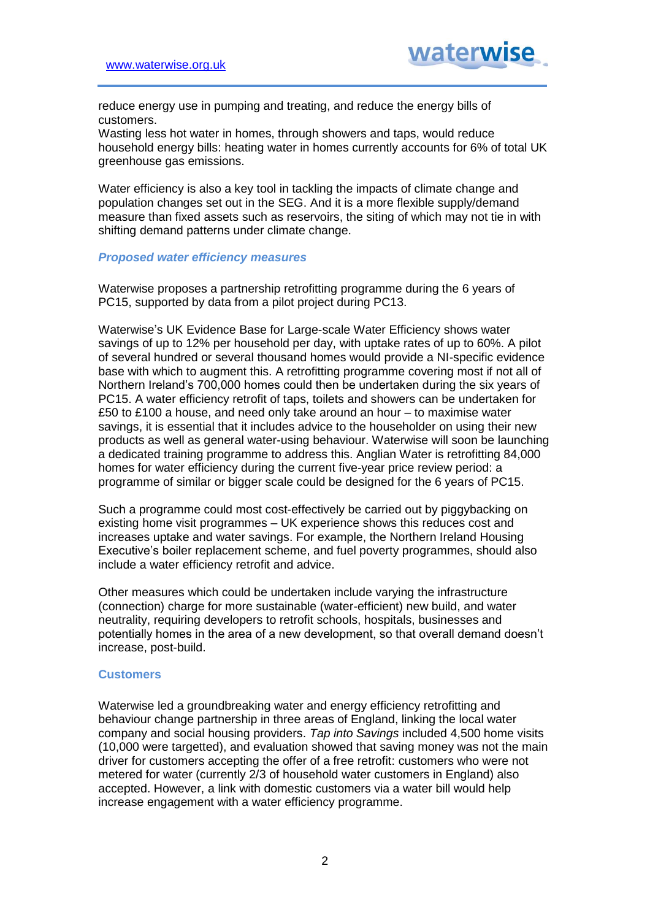reduce energy use in pumping and treating, and reduce the energy bills of customers.

Wasting less hot water in homes, through showers and taps, would reduce household energy bills: heating water in homes currently accounts for 6% of total UK greenhouse gas emissions.

Water efficiency is also a key tool in tackling the impacts of climate change and population changes set out in the SEG. And it is a more flexible supply/demand measure than fixed assets such as reservoirs, the siting of which may not tie in with shifting demand patterns under climate change.

## *Proposed water efficiency measures*

Waterwise proposes a partnership retrofitting programme during the 6 years of PC15, supported by data from a pilot project during PC13.

Waterwise's UK Evidence Base for Large-scale Water Efficiency shows water savings of up to 12% per household per day, with uptake rates of up to 60%. A pilot of several hundred or several thousand homes would provide a NI-specific evidence base with which to augment this. A retrofitting programme covering most if not all of Northern Ireland's 700,000 homes could then be undertaken during the six years of PC15. A water efficiency retrofit of taps, toilets and showers can be undertaken for £50 to £100 a house, and need only take around an hour – to maximise water savings, it is essential that it includes advice to the householder on using their new products as well as general water-using behaviour. Waterwise will soon be launching a dedicated training programme to address this. Anglian Water is retrofitting 84,000 homes for water efficiency during the current five-year price review period: a programme of similar or bigger scale could be designed for the 6 years of PC15.

Such a programme could most cost-effectively be carried out by piggybacking on existing home visit programmes – UK experience shows this reduces cost and increases uptake and water savings. For example, the Northern Ireland Housing Executive's boiler replacement scheme, and fuel poverty programmes, should also include a water efficiency retrofit and advice.

Other measures which could be undertaken include varying the infrastructure (connection) charge for more sustainable (water-efficient) new build, and water neutrality, requiring developers to retrofit schools, hospitals, businesses and potentially homes in the area of a new development, so that overall demand doesn't increase, post-build.

## **Customers**

Waterwise led a groundbreaking water and energy efficiency retrofitting and behaviour change partnership in three areas of England, linking the local water company and social housing providers. *Tap into Savings* included 4,500 home visits (10,000 were targetted), and evaluation showed that saving money was not the main driver for customers accepting the offer of a free retrofit: customers who were not metered for water (currently 2/3 of household water customers in England) also accepted. However, a link with domestic customers via a water bill would help increase engagement with a water efficiency programme.